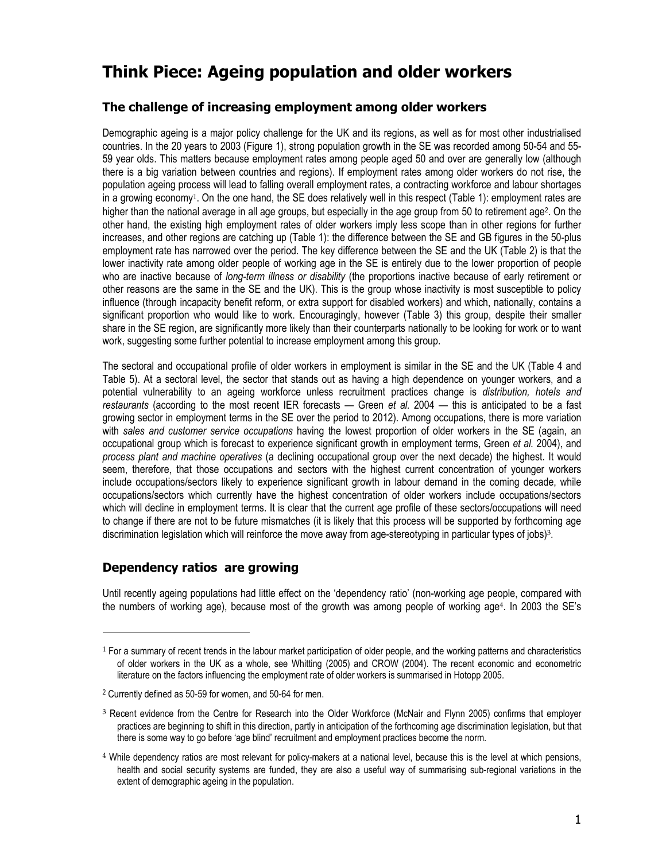# **Think Piece: Ageing population and older workers**

# **The challenge of increasing employment among older workers**

Demographic ageing is a major policy challenge for the UK and its regions, as well as for most other industrialised countries. In the 20 years to 2003 (Figure 1), strong population growth in the SE was recorded among 50-54 and 55- 59 year olds. This matters because employment rates among people aged 50 and over are generally low (although there is a big variation between countries and regions). If employment rates among older workers do not rise, the population ageing process will lead to falling overall employment rates, a contracting workforce and labour shortages in a growing economy1. On the one hand, the SE does relatively well in this respect (Table 1): employment rates are higher than the national average in all age groups, but especially in the age group from 50 to retirement age<sup>2</sup>. On the other hand, the existing high employment rates of older workers imply less scope than in other regions for further increases, and other regions are catching up (Table 1): the difference between the SE and GB figures in the 50-plus employment rate has narrowed over the period. The key difference between the SE and the UK (Table 2) is that the lower inactivity rate among older people of working age in the SE is entirely due to the lower proportion of people who are inactive because of *long-term illness or disability* (the proportions inactive because of early retirement or other reasons are the same in the SE and the UK). This is the group whose inactivity is most susceptible to policy influence (through incapacity benefit reform, or extra support for disabled workers) and which, nationally, contains a significant proportion who would like to work. Encouragingly, however (Table 3) this group, despite their smaller share in the SE region, are significantly more likely than their counterparts nationally to be looking for work or to want work, suggesting some further potential to increase employment among this group.

The sectoral and occupational profile of older workers in employment is similar in the SE and the UK (Table 4 and Table 5). At a sectoral level, the sector that stands out as having a high dependence on younger workers, and a potential vulnerability to an ageing workforce unless recruitment practices change is *distribution, hotels and restaurants* (according to the most recent IER forecasts — Green *et al.* 2004 — this is anticipated to be a fast growing sector in employment terms in the SE over the period to 2012)*.* Among occupations, there is more variation with *sales and customer service occupations* having the lowest proportion of older workers in the SE (again, an occupational group which is forecast to experience significant growth in employment terms, Green *et al.* 2004), and *process plant and machine operatives* (a declining occupational group over the next decade) the highest. It would seem, therefore, that those occupations and sectors with the highest current concentration of younger workers include occupations/sectors likely to experience significant growth in labour demand in the coming decade, while occupations/sectors which currently have the highest concentration of older workers include occupations/sectors which will decline in employment terms. It is clear that the current age profile of these sectors/occupations will need to change if there are not to be future mismatches (it is likely that this process will be supported by forthcoming age discrimination legislation which will reinforce the move away from age-stereotyping in particular types of jobs)3.

## **Dependency ratios are growing**

l

Until recently ageing populations had little effect on the 'dependency ratio' (non-working age people, compared with the numbers of working age), because most of the growth was among people of working age4. In 2003 the SE's

<sup>1</sup> For a summary of recent trends in the labour market participation of older people, and the working patterns and characteristics of older workers in the UK as a whole, see Whitting (2005) and CROW (2004). The recent economic and econometric literature on the factors influencing the employment rate of older workers is summarised in Hotopp 2005.

<sup>2</sup> Currently defined as 50-59 for women, and 50-64 for men.

<sup>&</sup>lt;sup>3</sup> Recent evidence from the Centre for Research into the Older Workforce (McNair and Flynn 2005) confirms that employer practices are beginning to shift in this direction, partly in anticipation of the forthcoming age discrimination legislation, but that there is some way to go before 'age blind' recruitment and employment practices become the norm.

<sup>4</sup> While dependency ratios are most relevant for policy-makers at a national level, because this is the level at which pensions, health and social security systems are funded, they are also a useful way of summarising sub-regional variations in the extent of demographic ageing in the population.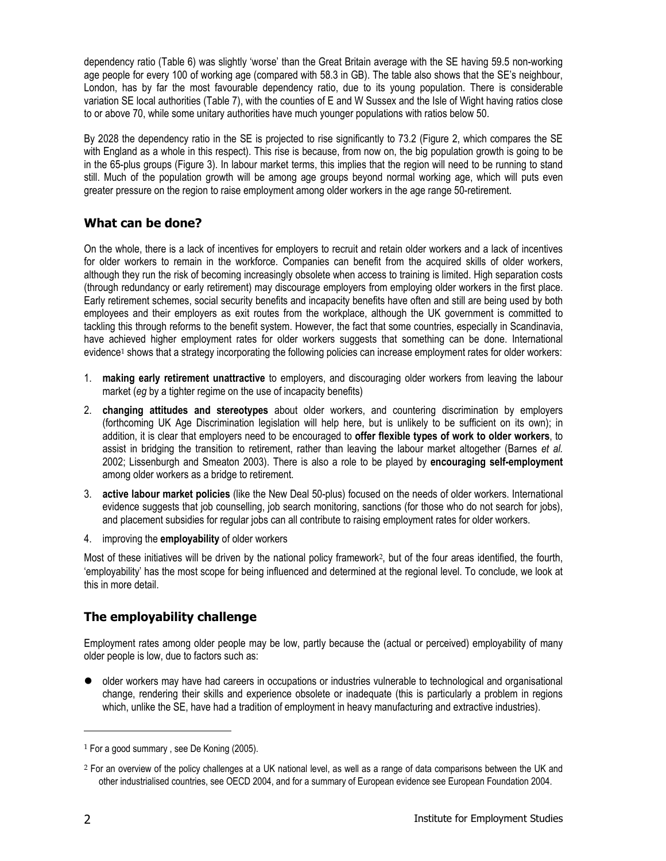dependency ratio (Table 6) was slightly 'worse' than the Great Britain average with the SE having 59.5 non-working age people for every 100 of working age (compared with 58.3 in GB). The table also shows that the SE's neighbour, London, has by far the most favourable dependency ratio, due to its young population. There is considerable variation SE local authorities (Table 7), with the counties of E and W Sussex and the Isle of Wight having ratios close to or above 70, while some unitary authorities have much younger populations with ratios below 50.

By 2028 the dependency ratio in the SE is projected to rise significantly to 73.2 (Figure 2, which compares the SE with England as a whole in this respect). This rise is because, from now on, the big population growth is going to be in the 65-plus groups (Figure 3). In labour market terms, this implies that the region will need to be running to stand still. Much of the population growth will be among age groups beyond normal working age, which will puts even greater pressure on the region to raise employment among older workers in the age range 50-retirement.

# **What can be done?**

On the whole, there is a lack of incentives for employers to recruit and retain older workers and a lack of incentives for older workers to remain in the workforce. Companies can benefit from the acquired skills of older workers, although they run the risk of becoming increasingly obsolete when access to training is limited. High separation costs (through redundancy or early retirement) may discourage employers from employing older workers in the first place. Early retirement schemes, social security benefits and incapacity benefits have often and still are being used by both employees and their employers as exit routes from the workplace, although the UK government is committed to tackling this through reforms to the benefit system. However, the fact that some countries, especially in Scandinavia, have achieved higher employment rates for older workers suggests that something can be done. International evidence<sup>1</sup> shows that a strategy incorporating the following policies can increase employment rates for older workers:

- 1. **making early retirement unattractive** to employers, and discouraging older workers from leaving the labour market (*eg* by a tighter regime on the use of incapacity benefits)
- 2. **changing attitudes and stereotypes** about older workers, and countering discrimination by employers (forthcoming UK Age Discrimination legislation will help here, but is unlikely to be sufficient on its own); in addition, it is clear that employers need to be encouraged to **offer flexible types of work to older workers**, to assist in bridging the transition to retirement, rather than leaving the labour market altogether (Barnes *et al.* 2002; Lissenburgh and Smeaton 2003). There is also a role to be played by **encouraging self-employment** among older workers as a bridge to retirement.
- 3. **active labour market policies** (like the New Deal 50-plus) focused on the needs of older workers. International evidence suggests that job counselling, job search monitoring, sanctions (for those who do not search for jobs), and placement subsidies for regular jobs can all contribute to raising employment rates for older workers.
- 4. improving the **employability** of older workers

Most of these initiatives will be driven by the national policy framework2, but of the four areas identified, the fourth, 'employability' has the most scope for being influenced and determined at the regional level. To conclude, we look at this in more detail.

# **The employability challenge**

Employment rates among older people may be low, partly because the (actual or perceived) employability of many older people is low, due to factors such as:

• older workers may have had careers in occupations or industries vulnerable to technological and organisational change, rendering their skills and experience obsolete or inadequate (this is particularly a problem in regions which, unlike the SE, have had a tradition of employment in heavy manufacturing and extractive industries).

 $\overline{a}$ 

<sup>&</sup>lt;sup>1</sup> For a good summary, see De Koning (2005).

<sup>2</sup> For an overview of the policy challenges at a UK national level, as well as a range of data comparisons between the UK and other industrialised countries, see OECD 2004, and for a summary of European evidence see European Foundation 2004.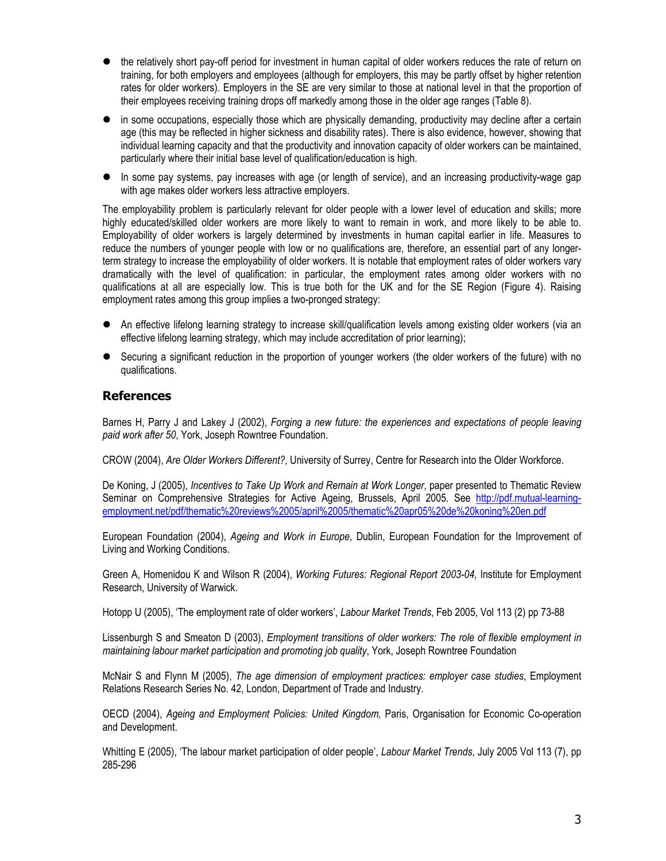- the relatively short pay-off period for investment in human capital of older workers reduces the rate of return on training, for both employers and employees (although for employers, this may be partly offset by higher retention rates for older workers). Employers in the SE are very similar to those at national level in that the proportion of their employees receiving training drops off markedly among those in the older age ranges (Table 8).
- in some occupations, especially those which are physically demanding, productivity may decline after a certain age (this may be reflected in higher sickness and disability rates). There is also evidence, however, showing that individual learning capacity and that the productivity and innovation capacity of older workers can be maintained, particularly where their initial base level of qualification/education is high.
- $\bullet$  In some pay systems, pay increases with age (or length of service), and an increasing productivity-wage gap with age makes older workers less attractive employers.

The employability problem is particularly relevant for older people with a lower level of education and skills; more highly educated/skilled older workers are more likely to want to remain in work, and more likely to be able to. Employability of older workers is largely determined by investments in human capital earlier in life. Measures to reduce the numbers of younger people with low or no qualifications are, therefore, an essential part of any longerterm strategy to increase the employability of older workers. It is notable that employment rates of older workers vary dramatically with the level of qualification: in particular, the employment rates among older workers with no qualifications at all are especially low. This is true both for the UK and for the SE Region (Figure 4). Raising employment rates among this group implies a two-pronged strategy:

- An effective lifelong learning strategy to increase skill/qualification levels among existing older workers (via an effective lifelong learning strategy, which may include accreditation of prior learning);
- Securing a significant reduction in the proportion of younger workers (the older workers of the future) with no qualifications.

### **References**

Barnes H, Parry J and Lakey J (2002), *Forging a new future: the experiences and expectations of people leaving paid work after 50*, York, Joseph Rowntree Foundation.

CROW (2004), *Are Older Workers Different?*, University of Surrey, Centre for Research into the Older Workforce.

De Koning, J (2005), *Incentives to Take Up Work and Remain at Work Longer*, paper presented to Thematic Review Seminar on Comprehensive Strategies for Active Ageing, Brussels, April 2005. See http://pdf.mutual-learningemployment.net/pdf/thematic%20reviews%2005/april%2005/thematic%20apr05%20de%20koning%20en.pdf

European Foundation (2004), *Ageing and Work in Europe*, Dublin, European Foundation for the Improvement of Living and Working Conditions.

Green A, Homenidou K and Wilson R (2004), *Working Futures: Regional Report 2003-04,* Institute for Employment Research, University of Warwick.

Hotopp U (2005), 'The employment rate of older workers', *Labour Market Trends*, Feb 2005, Vol 113 (2) pp 73-88

Lissenburgh S and Smeaton D (2003), *Employment transitions of older workers: The role of flexible employment in maintaining labour market participation and promoting job quality*, York, Joseph Rowntree Foundation

McNair S and Flynn M (2005), *The age dimension of employment practices: employer case studies*, Employment Relations Research Series No. 42, London, Department of Trade and Industry.

OECD (2004), *Ageing and Employment Policies: United Kingdom,* Paris, Organisation for Economic Co-operation and Development.

Whitting E (2005), 'The labour market participation of older people', *Labour Market Trends*, July 2005 Vol 113 (7), pp 285-296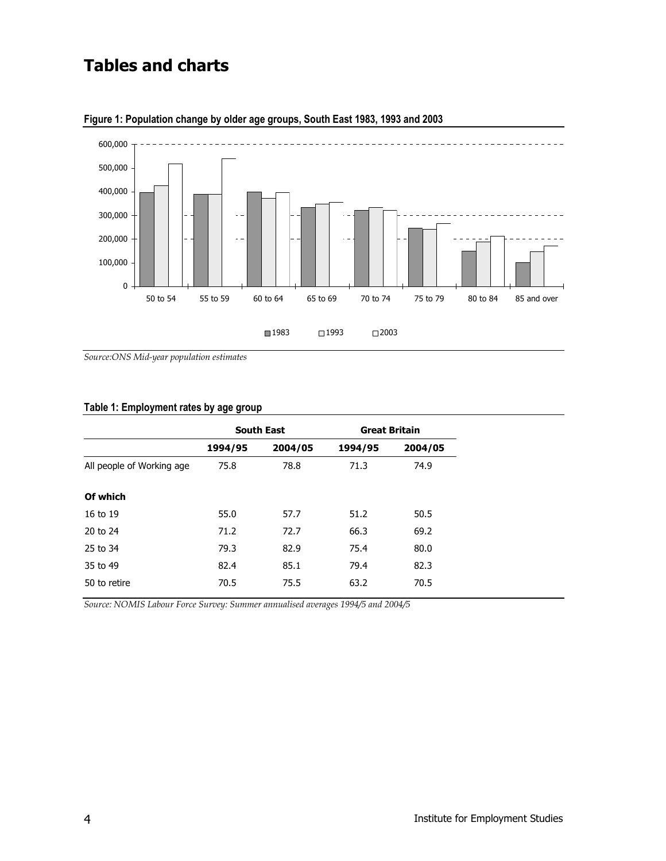# **Tables and charts**



**Figure 1: Population change by older age groups, South East 1983, 1993 and 2003** 

*Source:ONS Mid-year population estimates* 

#### **Table 1: Employment rates by age group**

|                           | <b>South East</b> |         | <b>Great Britain</b> |         |
|---------------------------|-------------------|---------|----------------------|---------|
|                           | 1994/95           | 2004/05 | 1994/95              | 2004/05 |
| All people of Working age | 75.8              | 78.8    | 71.3                 | 74.9    |
| Of which                  |                   |         |                      |         |
| 16 to 19                  | 55.0              | 57.7    | 51.2                 | 50.5    |
| 20 to 24                  | 71.2              | 72.7    | 66.3                 | 69.2    |
| 25 to 34                  | 79.3              | 82.9    | 75.4                 | 80.0    |
| 35 to 49                  | 82.4              | 85.1    | 79.4                 | 82.3    |
| 50 to retire              | 70.5              | 75.5    | 63.2                 | 70.5    |
|                           |                   |         |                      |         |

*Source: NOMIS Labour Force Survey: Summer annualised averages 1994/5 and 2004/5*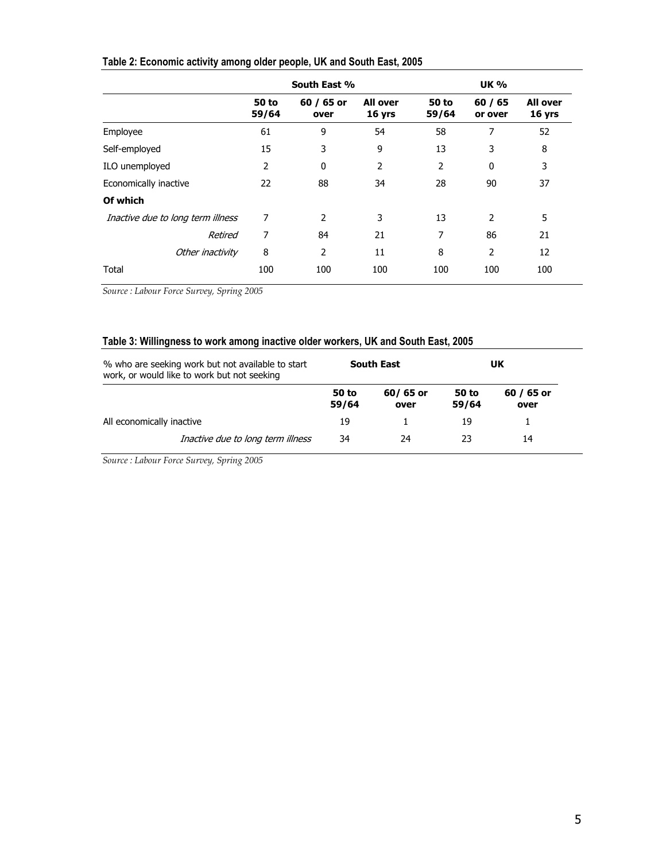|                                   | South East %          |                    | <b>UK %</b>               |                       |                    |                           |
|-----------------------------------|-----------------------|--------------------|---------------------------|-----------------------|--------------------|---------------------------|
|                                   | <b>50 to</b><br>59/64 | 60 / 65 or<br>over | <b>All over</b><br>16 yrs | <b>50 to</b><br>59/64 | 60 / 65<br>or over | <b>All over</b><br>16 yrs |
| Employee                          | 61                    | 9                  | 54                        | 58                    | 7                  | 52                        |
| Self-employed                     | 15                    | 3                  | 9                         | 13                    | 3                  | 8                         |
| ILO unemployed                    | 2                     | 0                  | $\overline{2}$            | $\overline{2}$        | $\mathbf{0}$       | 3                         |
| Economically inactive             | 22                    | 88                 | 34                        | 28                    | 90                 | 37                        |
| Of which                          |                       |                    |                           |                       |                    |                           |
| Inactive due to long term illness | 7                     | 2                  | 3                         | 13                    | 2                  | 5                         |
| Retired                           | 7                     | 84                 | 21                        | 7                     | 86                 | 21                        |
| Other inactivity                  | 8                     | $\overline{2}$     | 11                        | 8                     | $\overline{2}$     | 12                        |
| Total                             | 100                   | 100                | 100                       | 100                   | 100                | 100                       |

# **Table 2: Economic activity among older people, UK and South East, 2005**

*Source : Labour Force Survey, Spring 2005* 

## **Table 3: Willingness to work among inactive older workers, UK and South East, 2005**

| % who are seeking work but not available to start<br>work, or would like to work but not seeking |                                   | <b>South East</b> |                  | UΚ             |                    |
|--------------------------------------------------------------------------------------------------|-----------------------------------|-------------------|------------------|----------------|--------------------|
|                                                                                                  |                                   | 50 to<br>59/64    | 60/65 or<br>over | 50 to<br>59/64 | 60 / 65 or<br>over |
| All economically inactive                                                                        |                                   | 19                |                  | 19             |                    |
|                                                                                                  | Inactive due to long term illness | 34                | 24               | 23             | 14                 |

*Source : Labour Force Survey, Spring 2005*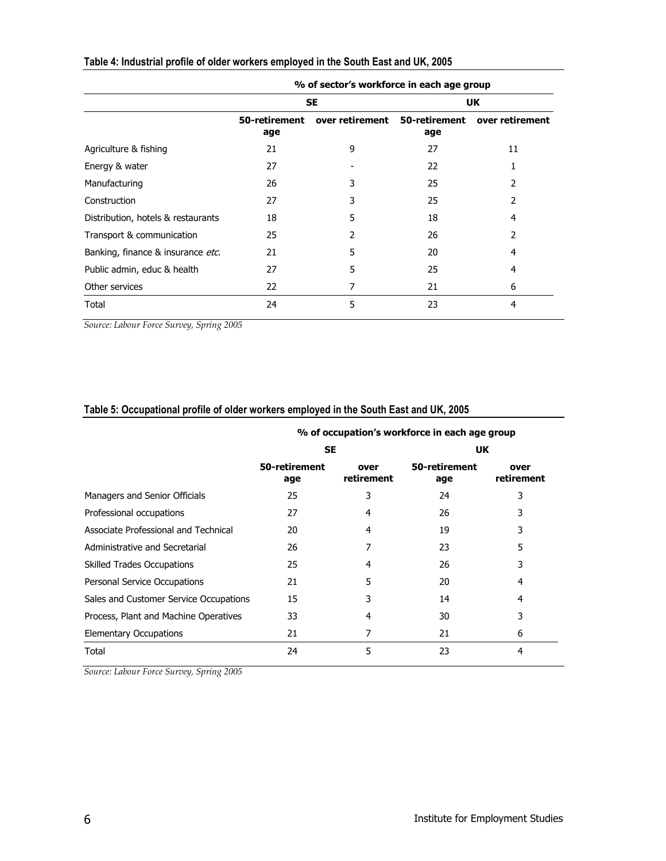|                                    | % of sector's workforce in each age group |                 |                      |                 |  |
|------------------------------------|-------------------------------------------|-----------------|----------------------|-----------------|--|
|                                    |                                           | <b>SE</b>       | UK                   |                 |  |
|                                    | 50-retirement<br>age                      | over retirement | 50-retirement<br>age | over retirement |  |
| Agriculture & fishing              | 21                                        | 9               | 27                   | 11              |  |
| Energy & water                     | 27                                        |                 | 22                   |                 |  |
| Manufacturing                      | 26                                        | 3               | 25                   | 2               |  |
| Construction                       | 27                                        | 3               | 25                   | 2               |  |
| Distribution, hotels & restaurants | 18                                        | 5               | 18                   | 4               |  |
| Transport & communication          | 25                                        | 2               | 26                   | $\mathcal{P}$   |  |
| Banking, finance & insurance etc.  | 21                                        | 5               | 20                   | 4               |  |
| Public admin, educ & health        | 27                                        | 5               | 25                   | 4               |  |
| Other services                     | 22                                        |                 | 21                   | 6               |  |
| Total                              | 24                                        | 5               | 23                   | 4               |  |

# **Table 4: Industrial profile of older workers employed in the South East and UK, 2005**

*Source: Labour Force Survey, Spring 2005* 

# **Table 5: Occupational profile of older workers employed in the South East and UK, 2005**

|                                        | % of occupation's workforce in each age group |                    |                      |                    |  |
|----------------------------------------|-----------------------------------------------|--------------------|----------------------|--------------------|--|
|                                        | <b>SE</b>                                     |                    | <b>UK</b>            |                    |  |
|                                        | 50-retirement<br>age                          | over<br>retirement | 50-retirement<br>age | over<br>retirement |  |
| Managers and Senior Officials          | 25                                            | 3                  | 24                   | 3                  |  |
| Professional occupations               | 27                                            | 4                  | 26                   | 3                  |  |
| Associate Professional and Technical   | 20                                            | 4                  | 19                   | 3                  |  |
| Administrative and Secretarial         | 26                                            | 7                  | 23                   | 5                  |  |
| <b>Skilled Trades Occupations</b>      | 25                                            | 4                  | 26                   | 3                  |  |
| Personal Service Occupations           | 21                                            | 5                  | 20                   | 4                  |  |
| Sales and Customer Service Occupations | 15                                            | 3                  | 14                   | 4                  |  |
| Process, Plant and Machine Operatives  | 33                                            | 4                  | 30                   | 3                  |  |
| <b>Elementary Occupations</b>          | 21                                            | 7                  | 21                   | 6                  |  |
| Total                                  | 24                                            | 5                  | 23                   | 4                  |  |

*Source: Labour Force Survey, Spring 2005*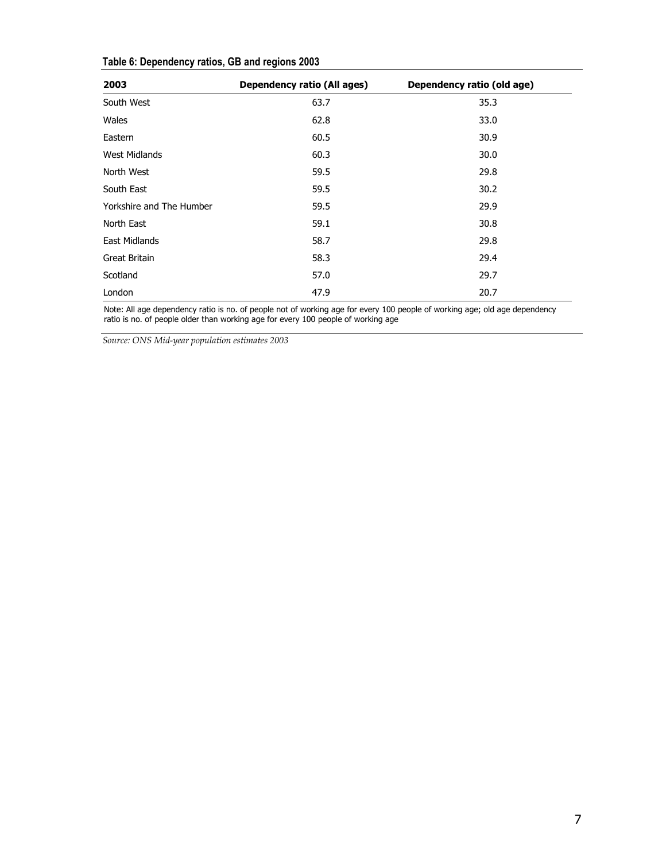| 2003                     | <b>Dependency ratio (All ages)</b> | Dependency ratio (old age) |
|--------------------------|------------------------------------|----------------------------|
| South West               | 63.7                               | 35.3                       |
| Wales                    | 62.8                               | 33.0                       |
| Eastern                  | 60.5                               | 30.9                       |
| <b>West Midlands</b>     | 60.3                               | 30.0                       |
| North West               | 59.5                               | 29.8                       |
| South East               | 59.5                               | 30.2                       |
| Yorkshire and The Humber | 59.5                               | 29.9                       |
| North East               | 59.1                               | 30.8                       |
| <b>East Midlands</b>     | 58.7                               | 29.8                       |
| Great Britain            | 58.3                               | 29.4                       |
| Scotland                 | 57.0                               | 29.7                       |
| London                   | 47.9                               | 20.7                       |

# **Table 6: Dependency ratios, GB and regions 2003**

Note: All age dependency ratio is no. of people not of working age for every 100 people of working age; old age dependency ratio is no. of people older than working age for every 100 people of working age

*Source: ONS Mid-year population estimates 2003*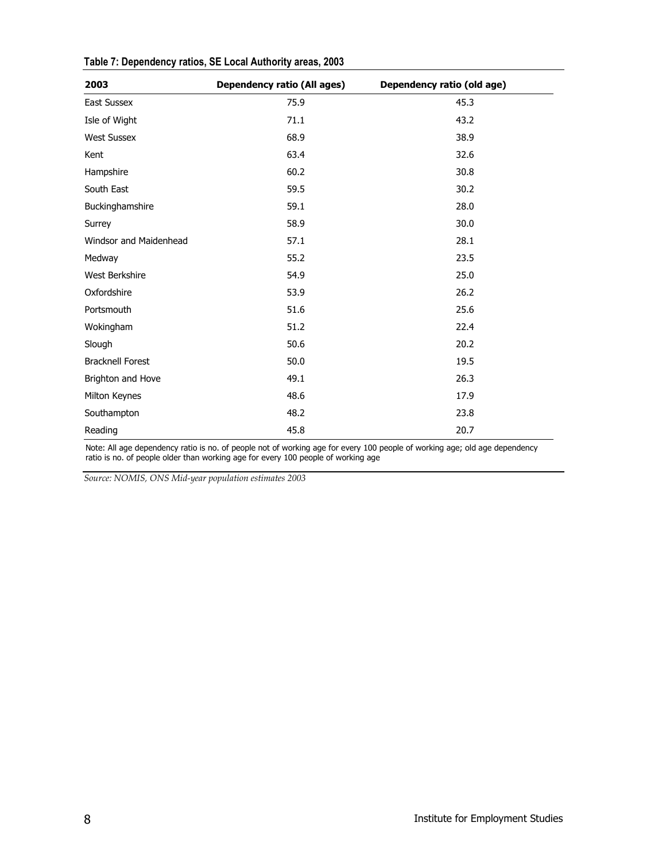| 2003                    | <b>Dependency ratio (All ages)</b> | Dependency ratio (old age) |
|-------------------------|------------------------------------|----------------------------|
| <b>East Sussex</b>      | 75.9                               | 45.3                       |
| Isle of Wight           | 71.1                               | 43.2                       |
| <b>West Sussex</b>      | 68.9                               | 38.9                       |
| Kent                    | 63.4                               | 32.6                       |
| Hampshire               | 60.2                               | 30.8                       |
| South East              | 59.5                               | 30.2                       |
| Buckinghamshire         | 59.1                               | 28.0                       |
| Surrey                  | 58.9                               | 30.0                       |
| Windsor and Maidenhead  | 57.1                               | 28.1                       |
| Medway                  | 55.2                               | 23.5                       |
| West Berkshire          | 54.9                               | 25.0                       |
| Oxfordshire             | 53.9                               | 26.2                       |
| Portsmouth              | 51.6                               | 25.6                       |
| Wokingham               | 51.2                               | 22.4                       |
| Slough                  | 50.6                               | 20.2                       |
| <b>Bracknell Forest</b> | 50.0                               | 19.5                       |
| Brighton and Hove       | 49.1                               | 26.3                       |
| Milton Keynes           | 48.6                               | 17.9                       |
| Southampton             | 48.2                               | 23.8                       |
| Reading                 | 45.8                               | 20.7                       |

# **Table 7: Dependency ratios, SE Local Authority areas, 2003**

Note: All age dependency ratio is no. of people not of working age for every 100 people of working age; old age dependency ratio is no. of people older than working age for every 100 people of working age

*Source: NOMIS, ONS Mid-year population estimates 2003*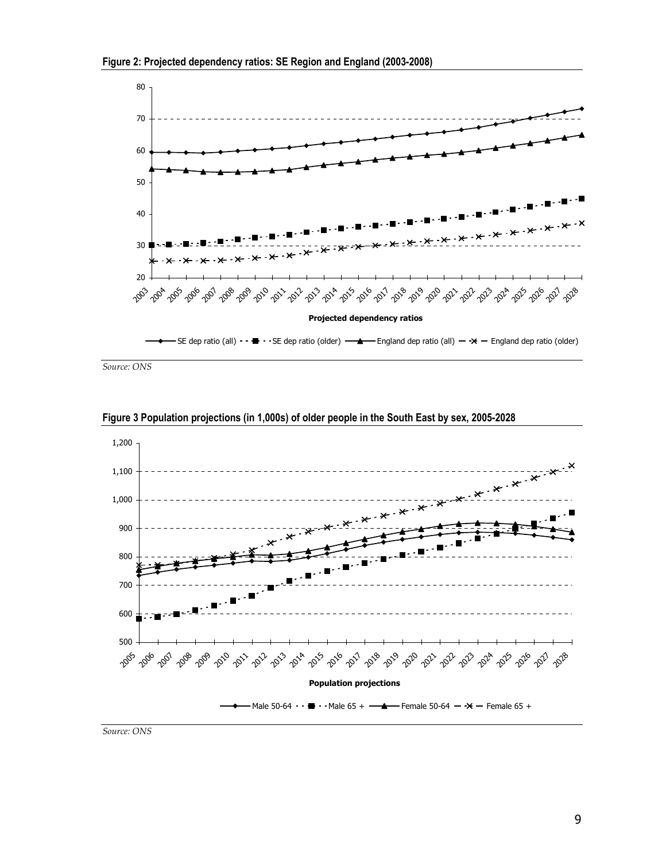



*Source: ONS* 



**Figure 3 Population projections (in 1,000s) of older people in the South East by sex, 2005-2028** 

*Source: ONS*